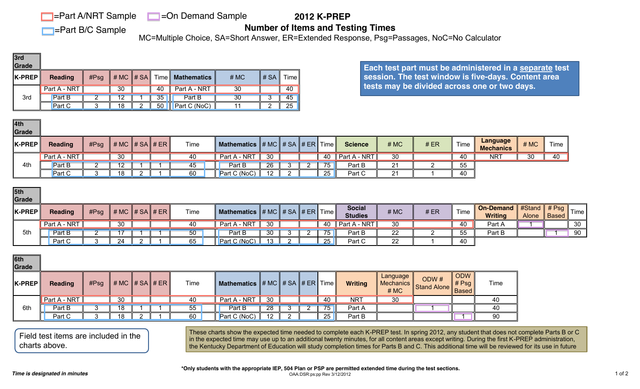**Fart A/NRT Sample** 

**F**=Part B/C Sample

**=On Demand Sample** 

 **2012 K-PREP**

**Number of Items and Testing Times**

MC=Multiple Choice, SA=Short Answer, ER=Extended Response, Psg=Passages, NoC=No Calculator

| 3rd<br>Grade   |                |      |                                                                |                 |                    |      |          |                    |
|----------------|----------------|------|----------------------------------------------------------------|-----------------|--------------------|------|----------|--------------------|
| $ $ K-PREP $ $ | <b>Reading</b> | #Psg | $\parallel$ # MC $\parallel$ # SA $\parallel$ Time $\parallel$ |                 | <b>Mathematics</b> | # MC | ∥ # SA I | Time <sub>II</sub> |
|                | Part A - NRT   |      | 30 <sup>°</sup>                                                | 40              | Part A - NRT       | 30   |          | 40                 |
| 3rd            | Part B         |      |                                                                | 35 <sub>2</sub> | Part B             | 30   |          | 45                 |
|                | <b>Part C</b>  |      | 18                                                             | 50              | Part C (NoC)       |      |          | 25                 |

| ∥4th<br>Grade |                |      |                              |  |      |                                         |                 |  |      |                                         |      |     |      |                                     |      |                 |
|---------------|----------------|------|------------------------------|--|------|-----------------------------------------|-----------------|--|------|-----------------------------------------|------|-----|------|-------------------------------------|------|-----------------|
| K-PREP        | <b>Reading</b> | #Psg | $\#$ MC $\#$ SA $\#$ ER $\ $ |  | Time | Mathematics $\ \# MC\  \# SA \ \# ER\ $ |                 |  | Time | <b>Science</b>                          | # MC | #ER | Time | <b>Language</b><br><b>Mechanics</b> | # MC | Time            |
|               | Part A - NRT   |      | 30                           |  | 40   | Part A - NRT                            | 30 <sup>7</sup> |  |      | 40 $\parallel$ Part A - NRT $\parallel$ | 30   |     | 40   | NR <sup>7</sup>                     | 30   | $\overline{40}$ |
| 4th           | Part B         |      | 12                           |  | 45   | Part B                                  | 26              |  | 75   | Part B                                  | 21   |     | 55   |                                     |      |                 |
|               | <b>Part C</b>  |      | 18                           |  | 60   | Part C (NoC)                            | $1^{\circ}$     |  | 25   | Part C                                  | 21   |     | 40   |                                     |      |                 |

| 5th<br>Grade  |                |      |                                                                |  |      |                                                                            |                 |  |    |                                 |      |      |      |                                             |              |                   |      |
|---------------|----------------|------|----------------------------------------------------------------|--|------|----------------------------------------------------------------------------|-----------------|--|----|---------------------------------|------|------|------|---------------------------------------------|--------------|-------------------|------|
| <b>K-PREP</b> | <b>Reading</b> | #Psg | $\parallel$ # MC $\parallel$ # SA $\parallel$ # ER $\parallel$ |  | Time | <b>Mathematics</b> $\sharp$ # MC $\sharp$ # SA $\sharp$ # ER Time $\sharp$ |                 |  |    | <b>Social</b><br><b>Studies</b> | # MC | # ER | Time | On-Demand #Stand # Psg II<br><b>Writing</b> | <b>Alone</b> | $\parallel$ Based | Time |
|               | Part A - NRT   |      | 30 <sup>1</sup>                                                |  | 40   | Part A - NRT                                                               | 30 <sup>7</sup> |  |    | 40   Part A - NRT $\parallel$   | 30   |      | 40   | Part A                                      |              |                   | 30   |
| 5th           | Part B         |      |                                                                |  | 50   | Part B                                                                     | 30              |  | 75 | Part B                          | 22   |      | 55   | Part B                                      |              |                   | 90   |
|               | Part C         |      | 24                                                             |  | 65   | Part C (NoC)                                                               | $\overline{12}$ |  | 25 | Part C                          | 22   |      | 40   |                                             |              |                   |      |

| 6th<br>Grade |                |      |                                                  |  |             |                                                   |    |  |    |                |                                 |                     |                       |      |
|--------------|----------------|------|--------------------------------------------------|--|-------------|---------------------------------------------------|----|--|----|----------------|---------------------------------|---------------------|-----------------------|------|
| K-PREP       | <b>Reading</b> | #Psg | # MC $\parallel \# SA \parallel \# ER \parallel$ |  | <b>Time</b> | <b>Mathematics</b> $\# MC \# SA \# ER \# Time \#$ |    |  |    | <b>Writing</b> | Language<br>Mechanics  <br># MC | ODW#<br>Stand Alone | ODW<br># Psg<br>Based | Time |
|              | Part A - NRT   |      | 30                                               |  | 40          | Part A - NRT                                      | 30 |  | 40 | <b>NRT</b>     | 30                              |                     |                       | 40   |
| 6th          | Part B         |      | 18                                               |  | 55          | Part B                                            | 28 |  | 75 | Part A         |                                 |                     |                       | 40   |
|              | Part C         |      | 18                                               |  | 60          | Part C (NoC)                                      | 12 |  | 25 | Part B         |                                 |                     |                       | 90   |

**Each test part must be administered in a separate test session. The test window is five-days. Content area tests may be divided across one or two days.** 

Field test items are included in the charts above.

These charts show the expected time needed to complete each K-PREP test. In spring 2012, any student that does not complete Parts B or C in the expected time may use up to an additional twenty minutes, for all content areas except writing. During the first K-PREP administration, the Kentucky Department of Education will study completion times for Parts B and C. This additional time will be reviewed for its use in future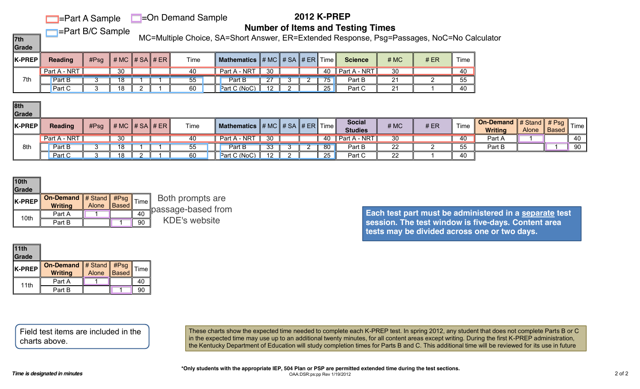#### **F**=Part A Sample **E**=On Demand Sample

# **2012 K-PREP**

**F**=Part B/C Sample

**Number of Items and Testing Times**

**7th** MC=Multiple Choice, SA=Short Answer, ER=Extended Response, Psg=Passages, NoC=No Calculator

**Grade** 

| <u>isisas</u> |                |      |                     |  |      |                                 |           |  |          |                          |                |     |      |
|---------------|----------------|------|---------------------|--|------|---------------------------------|-----------|--|----------|--------------------------|----------------|-----|------|
| K-PREP        | <b>Reading</b> | #Psg | $\# MC \# SA \# ER$ |  | Time | Mathematics $\# MC \# SA \# ER$ |           |  | Time     | <b>Science</b>           | # MC           | #ER | Time |
|               | Part A - NRT   |      | 30                  |  | 40   | Part A - NRT                    | 30        |  | 40       | $\parallel$ Part A - NRT | 30             |     | 40   |
| 7th           | Part B         |      | 18                  |  | 55   | <b>Part B</b>                   | ∠⊣        |  | 75       | Part B                   | 21             |     | 55   |
|               | <b>Part C</b>  |      | 18                  |  | 60   | Part C (NoC)                    | $\Lambda$ |  | つに<br>∠◡ | Part C                   | ດ4<br><u>L</u> |     | 40   |

| ∥8th          |                |      |                 |  |      |                                              |           |          |                 |                                 |      |     |      |                                                                                          |       |              |                                |
|---------------|----------------|------|-----------------|--|------|----------------------------------------------|-----------|----------|-----------------|---------------------------------|------|-----|------|------------------------------------------------------------------------------------------|-------|--------------|--------------------------------|
| Grade         |                |      |                 |  |      |                                              |           |          |                 |                                 |      |     |      |                                                                                          |       |              |                                |
| <b>K-PREP</b> | <b>Reading</b> | #Psg |                 |  | Time | Mathematics $\ \# MC\  \# SA \ \# ER\ $ Time |           |          |                 | <b>Social</b><br><b>Studies</b> | # MC | #ER | Time | <b>On-Demand</b> $\parallel \#$ Stand $\parallel \#$ Psq $\parallel$ .<br><b>Writing</b> | Alone | <b>Based</b> | <sup>"</sup> Time <sub>I</sub> |
|               | Part A - NRT I |      | 30 <sup>7</sup> |  | 40   | Part A - NRT                                 | $30-1$    |          |                 | 40   Part A - NRT $\ $          | 30   |     | 40   | Part A                                                                                   |       |              | 40                             |
| 8th           | Part B         |      | 18 <sup>°</sup> |  | 55   | Part B                                       | 33        | <u>_</u> | 80 <sup>°</sup> | Part B                          | 22   |     | 55   | Part B                                                                                   |       |              | 90                             |
|               | Part C         |      | 18              |  | 60   | Part C (NoC)                                 | $\Lambda$ |          | 25              | Part C                          | 22   |     | 40   |                                                                                          |       |              |                                |

| $\vert$ 11th<br>Grade |                                          |              |                   |      |
|-----------------------|------------------------------------------|--------------|-------------------|------|
| K-PREP                | On-Demand # Stand #Psg<br><b>Writing</b> | <b>Alone</b> | $\parallel$ Based | Time |
| 11th                  | Part A                                   |              |                   | 40   |
|                       | Part B                                   |              |                   | 90   |

**Each test part must be administered in a separate test session. The test window is five-days. Content area tests may be divided across one or two days.** 

Field test items are included in the charts above.

| 10th<br>Grade |                                        |             |    |                                        |
|---------------|----------------------------------------|-------------|----|----------------------------------------|
| K-PREP        | On-Demand # Stand #Psg Time<br>Writing | Alone Based |    | Both prompts are<br>passage-based from |
| 10th          | Part A                                 |             |    |                                        |
|               | Part B                                 |             | 90 | <b>KDE's website</b>                   |

These charts show the expected time needed to complete each K-PREP test. In spring 2012, any student that does not complete Parts B or C in the expected time may use up to an additional twenty minutes, for all content areas except writing. During the first K-PREP administration, the Kentucky Department of Education will study completion times for Parts B and C. This additional time will be reviewed for its use in future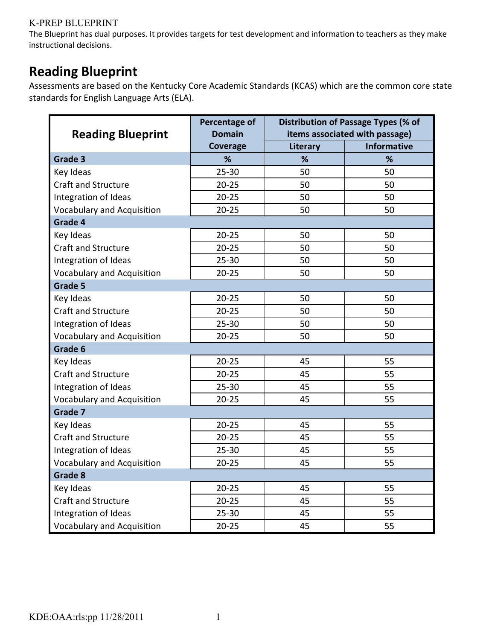#### **K-PREP BLUEPRINT**

The Blueprint has dual purposes. It provides targets for test development and information to teachers as they make instructional decisions.

### **Reading Blueprint**

Assessments are based on the Kentucky Core Academic Standards (KCAS) which are the common core state standards for English Language Arts (ELA).

|                                   | Percentage of | Distribution of Passage Types (% of |                                |  |  |  |
|-----------------------------------|---------------|-------------------------------------|--------------------------------|--|--|--|
| <b>Reading Blueprint</b>          | <b>Domain</b> |                                     | items associated with passage) |  |  |  |
|                                   | Coverage      | Literary                            | <b>Informative</b>             |  |  |  |
| Grade 3                           | %             | %                                   | %                              |  |  |  |
| Key Ideas                         | $25 - 30$     | 50                                  | 50                             |  |  |  |
| <b>Craft and Structure</b>        | $20 - 25$     | 50                                  | 50                             |  |  |  |
| Integration of Ideas              | $20 - 25$     | 50                                  | 50                             |  |  |  |
| <b>Vocabulary and Acquisition</b> | $20 - 25$     | 50                                  | 50                             |  |  |  |
| Grade 4                           |               |                                     |                                |  |  |  |
| Key Ideas                         | $20 - 25$     | 50                                  | 50                             |  |  |  |
| <b>Craft and Structure</b>        | $20 - 25$     | 50                                  | 50                             |  |  |  |
| Integration of Ideas              | $25 - 30$     | 50                                  | 50                             |  |  |  |
| <b>Vocabulary and Acquisition</b> | $20 - 25$     | 50                                  | 50                             |  |  |  |
| Grade 5                           |               |                                     |                                |  |  |  |
| Key Ideas                         | $20 - 25$     | 50                                  | 50                             |  |  |  |
| Craft and Structure               | $20 - 25$     | 50                                  | 50                             |  |  |  |
| Integration of Ideas              | $25 - 30$     | 50                                  | 50                             |  |  |  |
| <b>Vocabulary and Acquisition</b> | $20 - 25$     | 50                                  | 50                             |  |  |  |
| Grade 6                           |               |                                     |                                |  |  |  |
| Key Ideas                         | $20 - 25$     | 45                                  | 55                             |  |  |  |
| <b>Craft and Structure</b>        | $20 - 25$     | 45                                  | 55                             |  |  |  |
| Integration of Ideas              | $25 - 30$     | 45                                  | 55                             |  |  |  |
| <b>Vocabulary and Acquisition</b> | $20 - 25$     | 45                                  | 55                             |  |  |  |
| Grade 7                           |               |                                     |                                |  |  |  |
| Key Ideas                         | $20 - 25$     | 45                                  | 55                             |  |  |  |
| <b>Craft and Structure</b>        | $20 - 25$     | 45                                  | 55                             |  |  |  |
| Integration of Ideas              | $25 - 30$     | 45                                  | 55                             |  |  |  |
| <b>Vocabulary and Acquisition</b> | $20 - 25$     | 45                                  | 55                             |  |  |  |
| Grade 8                           |               |                                     |                                |  |  |  |
| Key Ideas                         | $20 - 25$     | 45                                  | 55                             |  |  |  |
| <b>Craft and Structure</b>        | $20 - 25$     | 45                                  | 55                             |  |  |  |
| Integration of Ideas              | $25 - 30$     | 45                                  | 55                             |  |  |  |
| <b>Vocabulary and Acquisition</b> | $20 - 25$     | 45                                  | 55                             |  |  |  |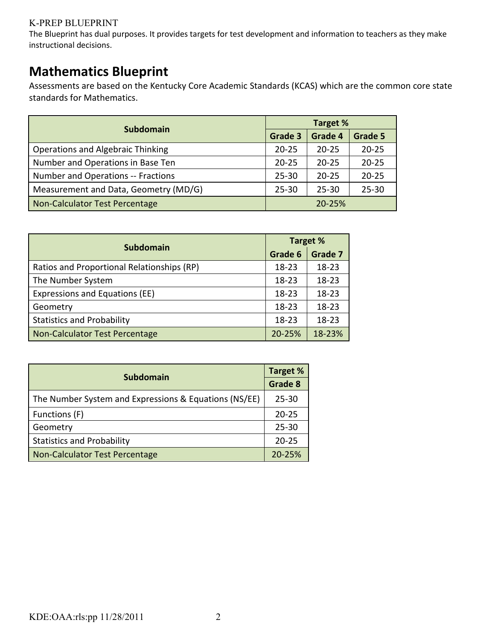#### **K-PREP BLUEPRINT**

The Blueprint has dual purposes. It provides targets for test development and information to teachers as they make instructional decisions.

### **Mathematics Blueprint**

Assessments are based on the Kentucky Core Academic Standards (KCAS) which are the common core state standards for Mathematics.

|                                          | <b>Target %</b> |            |           |  |  |  |
|------------------------------------------|-----------------|------------|-----------|--|--|--|
| <b>Subdomain</b>                         | Grade 3         | Grade 4    | Grade 5   |  |  |  |
| <b>Operations and Algebraic Thinking</b> | $20 - 25$       | $20 - 25$  | $20 - 25$ |  |  |  |
| Number and Operations in Base Ten        | $20 - 25$       | $20 - 25$  | $20 - 25$ |  |  |  |
| Number and Operations -- Fractions       | $25 - 30$       | $20 - 25$  | $20 - 25$ |  |  |  |
| Measurement and Data, Geometry (MD/G)    | $25 - 30$       | $25 - 30$  | $25 - 30$ |  |  |  |
| Non-Calculator Test Percentage           |                 | $20 - 25%$ |           |  |  |  |

|                                            |           | <b>Target %</b> |
|--------------------------------------------|-----------|-----------------|
| <b>Subdomain</b>                           | Grade 6   | Grade 7         |
| Ratios and Proportional Relationships (RP) | $18 - 23$ | $18 - 23$       |
| The Number System                          | $18 - 23$ | 18-23           |
| Expressions and Equations (EE)             | $18 - 23$ | 18-23           |
| Geometry                                   | $18 - 23$ | $18 - 23$       |
| <b>Statistics and Probability</b>          | $18 - 23$ | $18 - 23$       |
| Non-Calculator Test Percentage             | 20-25%    | 18-23%          |

|                                                       | <b>Target %</b> |
|-------------------------------------------------------|-----------------|
| <b>Subdomain</b>                                      | Grade 8         |
| The Number System and Expressions & Equations (NS/EE) | $25 - 30$       |
| Functions (F)                                         | $20 - 25$       |
| Geometry                                              | $25 - 30$       |
| <b>Statistics and Probability</b>                     | $20 - 25$       |
| Non-Calculator Test Percentage                        | 20-25%          |